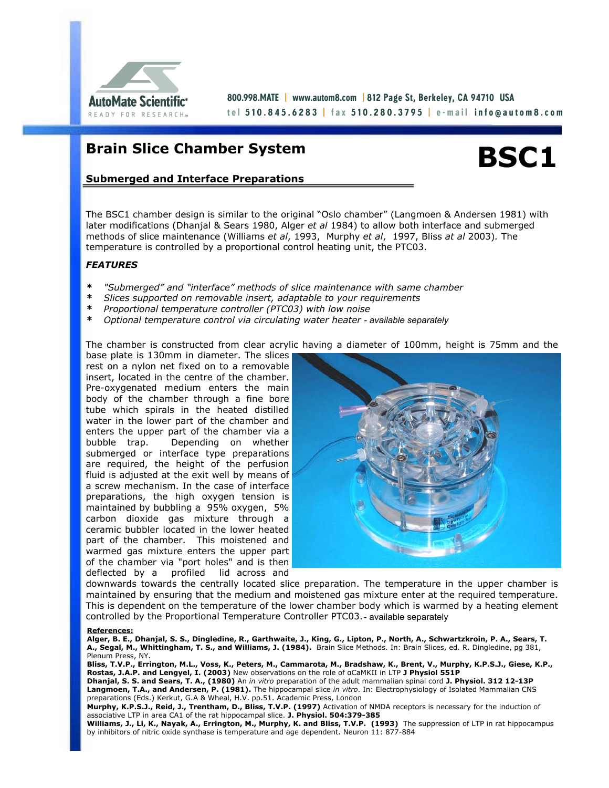

800.998.MATE | www.autom8.com | 812 Page St, Berkeley, CA 94710 USA tel <mark>510.845.6283 |</mark> fax <mark>510.280.3795 |</mark> e-mail **info@autom8.com** 

# **Brain Slice Chamber System**



# **Submerged and Interface Preparations**

The BSC1 chamber design is similar to the original "Oslo chamber" (Langmoen & Andersen 1981) with later modifications (Dhanjal & Sears 1980, Alger *et al* 1984) to allow both interface and submerged methods of slice maintenance (Williams *et al*, 1993, Murphy *et al*, 1997, Bliss *at al* 2003)*.* The temperature is controlled by a proportional control heating unit, the PTC03.

### *FEATURES*

- *\* "Submerged" and "interface" methods of slice maintenance with same chamber*
- *\* Slices supported on removable insert, adaptable to your requirements*
- *\* Proportional temperature controller (PTC03) with low noise*
- *\* Optional temperature control via circulating water heater available separately*

The chamber is constructed from clear acrylic having a diameter of 100mm, height is 75mm and the

base plate is 130mm in diameter. The slices rest on a nylon net fixed on to a removable insert, located in the centre of the chamber. Pre-oxygenated medium enters the main body of the chamber through a fine bore tube which spirals in the heated distilled water in the lower part of the chamber and enters the upper part of the chamber via a bubble trap. Depending on whether submerged or interface type preparations are required, the height of the perfusion fluid is adjusted at the exit well by means of a screw mechanism. In the case of interface preparations, the high oxygen tension is maintained by bubbling a 95% oxygen, 5% carbon dioxide gas mixture through a ceramic bubbler located in the lower heated part of the chamber. This moistened and warmed gas mixture enters the upper part of the chamber via "port holes" and is then deflected by a profiled lid across and



downwards towards the centrally located slice preparation. The temperature in the upper chamber is maintained by ensuring that the medium and moistened gas mixture enter at the required temperature. This is dependent on the temperature of the lower chamber body which is warmed by a heating element controlled by the Proportional Temperature Controller PTC03. - available separately

#### **References:**

**Alger, B. E., Dhanjal, S. S., Dingledine, R., Garthwaite, J., King, G., Lipton, P., North, A., Schwartzkroin, P. A., Sears, T. A., Segal, M., Whittingham, T. S., and Williams, J. (1984).** Brain Slice Methods. In: Brain Slices, ed. R. Dingledine, pg 381, Plenum Press, NY.

**Bliss, T.V.P., Errington, M.L., Voss, K., Peters, M., Cammarota, M., Bradshaw, K., Brent, V., Murphy, K.P.S.J., Giese, K.P., Rostas, J.A.P. and Lengyel, I. (2003)** New observations on the role of αCaMKII in LTP **J Physiol 551P Dhanjal, S. S. and Sears, T. A., (1980)** An *in vitro* preparation of the adult mammalian spinal cord **J. Physiol. 312 12-13P Langmoen, T.A., and Andersen, P. (1981).** The hippocampal slice *in vitro*. In: Electrophysiology of Isolated Mammalian CNS preparations (Eds.) Kerkut, G.A & Wheal, H.V. pp.51. Academic Press, London

**Murphy, K.P.S.J., Reid, J., Trentham, D., Bliss, T.V.P. (1997)** Activation of NMDA receptors is necessary for the induction of associative LTP in area CA1 of the rat hippocampal slice. **J. Physiol. 504:379-385** 

**Williams, J., Li, K., Nayak, A., Errington, M., Murphy, K. and Bliss, T.V.P. (1993)** The suppression of LTP in rat hippocampus by inhibitors of nitric oxide synthase is temperature and age dependent. Neuron 11: 877-884